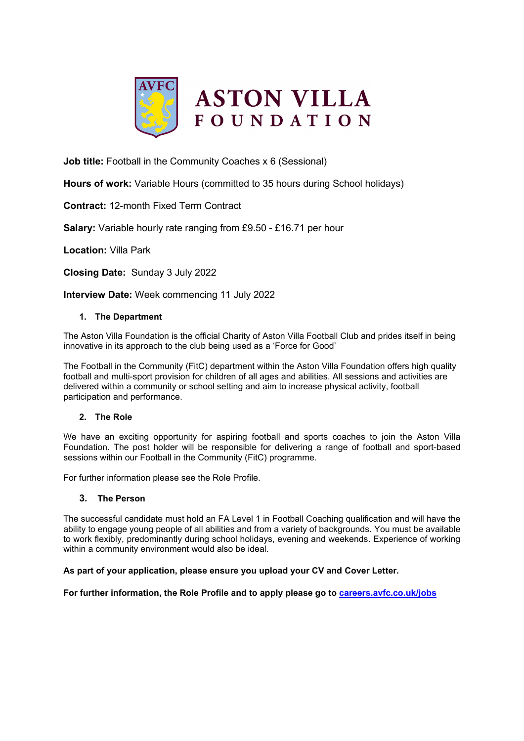

**Job title:** Football in the Community Coaches x 6 (Sessional)

**Hours of work:** Variable Hours (committed to 35 hours during School holidays)

**Contract:** 12-month Fixed Term Contract

**Salary:** Variable hourly rate ranging from £9.50 - £16.71 per hour

**Location:** Villa Park

**Closing Date:** Sunday 3 July 2022

**Interview Date:** Week commencing 11 July 2022

## **1. The Department**

The Aston Villa Foundation is the official Charity of Aston Villa Football Club and prides itself in being innovative in its approach to the club being used as a 'Force for Good'

The Football in the Community (FitC) department within the Aston Villa Foundation offers high quality football and multi-sport provision for children of all ages and abilities. All sessions and activities are delivered within a community or school setting and aim to increase physical activity, football participation and performance.

## **2. The Role**

We have an exciting opportunity for aspiring football and sports coaches to join the Aston Villa Foundation. The post holder will be responsible for delivering a range of football and sport-based sessions within our Football in the Community (FitC) programme.

For further information please see the Role Profile.

# **3. The Person**

The successful candidate must hold an FA Level 1 in Football Coaching qualification and will have the ability to engage young people of all abilities and from a variety of backgrounds. You must be available to work flexibly, predominantly during school holidays, evening and weekends. Experience of working within a community environment would also be ideal.

## **As part of your application, please ensure you upload your CV and Cover Letter.**

**For further information, the Role Profile and to apply please go to [careers.avfc.co.uk/jobs](https://careers.avfc.co.uk/jobs)**